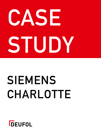# **CASE STUDY**

## **SIEMENS CHARLOTTE**

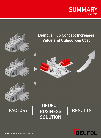



#### **FACTORY**

#### **DEUFOL BUSINESS SOLUTION RESULTS | |**

**DEUFOL**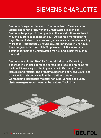#### **SIEMENS CHARLOTTE**

**Siemens Energy, Inc. located in Charlotte, North Carolina is the largest gas turbine facility in the United States. It is one of Siemens' largest production plants in the world with more than 1 million square feet of space and 80-100 feet high manufacturing bays. Gas and steam turbines and generators are manufactured by more than 1,550 people 24 hours/day, 365 days/year in Charlotte. They range in size from 150 MW up to over 1,600 MW and are destined for both the United States market and export throughout the world.** 

**Siemens has utilized Deufol's Export & Industrial Packaging expertise in 8 major operations across the globe beginning as far back as 25 years ago; including locations in Germany, Czech Republic and Austria. The primary support and services Deufol has provided include but are not limited to kitting, crating, warehousing, hazardous material handling, vendor and supply chain management all powered by custom IT solutions.**



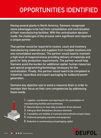### **OPPORTUNITIES IDENTIFIED**

**Having several plants in North America, Siemens recognized some advantages to be had from consolidation and centralization of their manufacturing facilities. With the centralization decision made, the challenges of the process were significant and required a unique partner.** 

**That partner would be required to receive, count and inventory manufacturing materials and supplies from multiple locations into one consolidated warehouse. The partner would need to maintain a high level of responsiveness providing delivery of materials and parts for daily production requirements. The partner would help Siemens avoid the burden for additional capital, human resources and special programming/technology necessary for the centralization. Finally, this partner would need to be competent in industrial, hazardous and export packaging for outbound power generation.** 

**Siemens key objective was to avoid a resource drain in order to maintain their focus on their core competencies by addressing these needs.**



**1. Logistics, coordination and reporting for the consolidation of manufacturing facilities and warehouses**

- **2. Material delivery to meet daily production driven demand**
- **3. Kitting by Work Breakdown Structure elements**
- **4. Traceability and visibility of materials and production project status**
- **5. Outbound packaging expertise and equipment**
- **6. Reduction in warehousing and packaging capital**

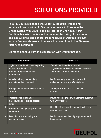### **SOLUTIONS PROVIDED**

**In 2011, Deufol expanded the Export & Industrial Packaging services it has provided to Siemens for years in Europe to the United States with Deufol's facility located in Charlotte, North Carolina. Material that is used in the manufacturing of the steam and gas turbines and generators is received at Deufol's 155,000 square feet warehouse and delivered to pointofuse in the Siemens factory as requested.**

**Siemens benefits from this collocation with Deufol through:**

|                | <b>Requirement</b>                                                                                              | <b>Delivered</b>                                                                                                     |
|----------------|-----------------------------------------------------------------------------------------------------------------|----------------------------------------------------------------------------------------------------------------------|
|                | Logistics, coordination and reporting<br>for the consolidation of<br>manufacturing facilities and<br>warehouses | Deufol coordinated the relocation.<br>organization and consolidation of nearly all<br>materials in 2011 for Siemens. |
| $\overline{2}$ | Material delivery to meet daily<br>production driven demand                                                     | Deufol annually meets daily production<br>delivery of on average 40,000 pieces.                                      |
| 3              | <b>Kitting by Work Breakdown Structure</b><br>elements                                                          | Small parts kitted and provided on<br>demand                                                                         |
| 4              | <b>Traceability and visibility of</b><br>materials and production project<br><b>status</b>                      | Deufol has integrated with Siemens systems<br>with 24/7 visibility                                                   |
| 5              | Outbound packaging expertise and<br>equipment                                                                   | Over 30,000 parts crated annually with zero<br>damage loss claims                                                    |
| $6\phantom{1}$ | Reduction in warehousing and<br>packaging capital                                                               | Deufol manages all facility, equipment and<br>labor costs                                                            |

#### DEUFOL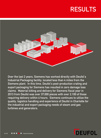#### **RESULTS**



**Over the last 2 years, Siemens has worked directly with Deufol's Industrial Packaging facility, located less than 4 miles from the Siemens plant. In this time, Deufol's post-production crating and export packaging for Siemens has resulted in zero damage loss claims. Material kitting and delivery for Siemens fiscal year in 2013 from Deufol was over 37,000 pieces with over 2,100 of those requiring delivery within 4 hours. Siemens continues to utilize the quality, logistics handling and experience of Deufol in Charlotte for the industrial and export packaging needs of steam and gas turbines and generators.** 

#### DEUFOL